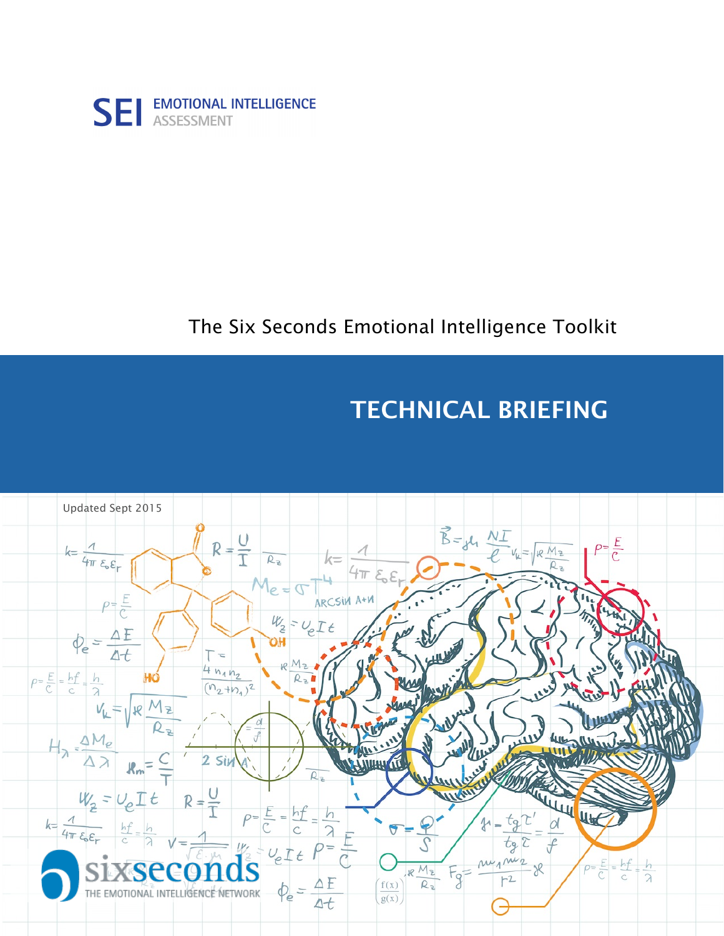

## The Six Seconds Emotional Intelligence Toolkit

# TECHNICAL BRIEFING

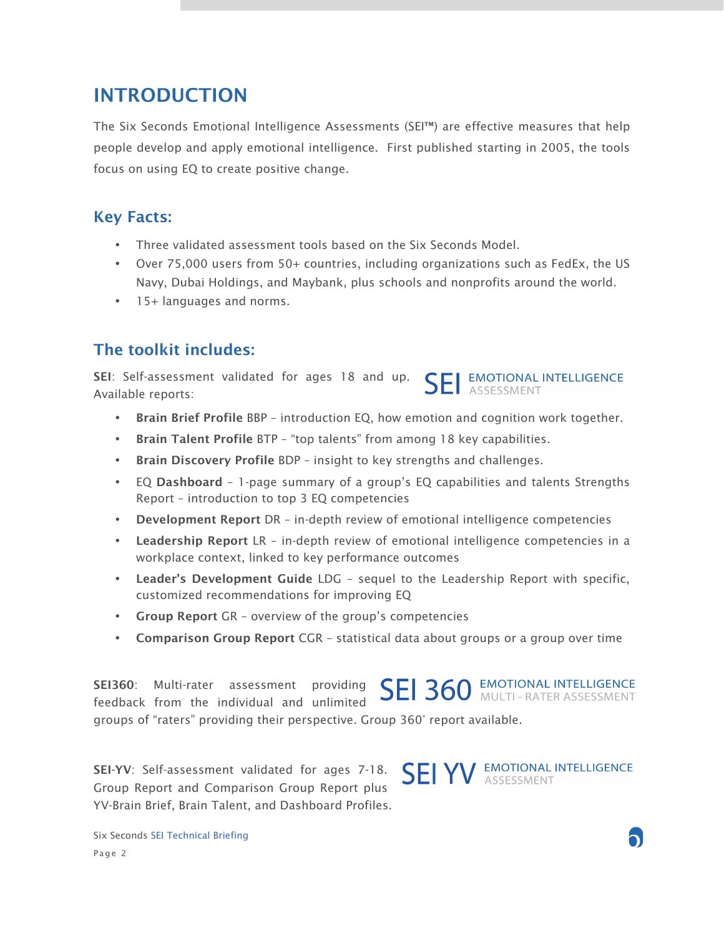## INTRODUCTION

The Six Seconds Emotional Intelligence Assessments (SEI™) are effective measures that help people develop and apply emotional intelligence. First published starting in 2005, the tools focus on using EQ to create positive change.

### Key Facts:

- Three validated assessment tools based on the Six Seconds Model.
- Over 75,000 users from 50+ countries, including organizations such as FedEx, the US Navy, Dubai Holdings, and Maybank, plus schools and nonprofits around the world.
- 15+ languages and norms.

## The toolkit includes:

SEI: Self-assessment validated for ages 18 and up. **EMOTIONAL INTELLIGENCE** Available reports:

- Brain Brief Profile BBP introduction EQ, how emotion and cognition work together.
- Brain Talent Profile BTP "top talents" from among 18 key capabilities.
- Brain Discovery Profile BDP insight to key strengths and challenges.
- EQ Dashboard 1-page summary of a group's EQ capabilities and talents Strengths Report – introduction to top 3 EQ competencies
- Development Report DR in-depth review of emotional intelligence competencies
- Leadership Report LR in-depth review of emotional intelligence competencies in a workplace context, linked to key performance outcomes
- Leader's Development Guide LDG sequel to the Leadership Report with specific, customized recommendations for improving EQ
- Group Report GR overview of the group's competencies
- Comparison Group Report CGR statistical data about groups or a group over time

**SEI 360 EMOTIONAL INTELLIGENCE** SEI360: Multi-rater assessment providing feedback from the individual and unlimited groups of "raters" providing their perspective. Group 360° report available.

SEI-YV: Self-assessment validated for ages 7-18. Group Report and Comparison Group Report plus YV-Brain Brief, Brain Talent, and Dashboard Profiles.

**SEI YV** EMOTIONAL INTELLIGENCE

Six Seconds SEI Technical Briefing Page 2

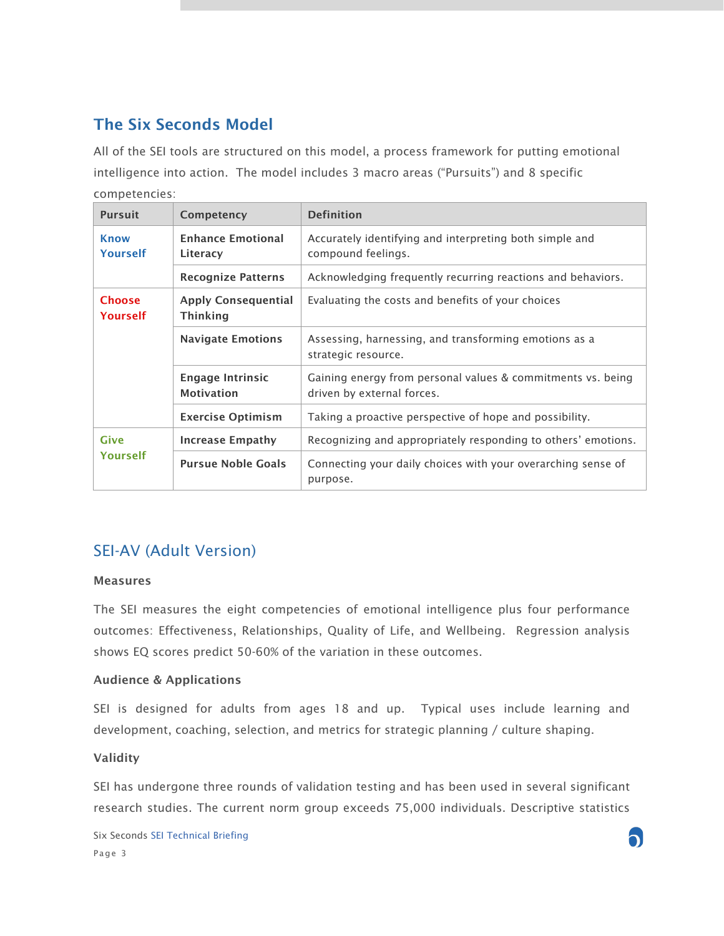## The Six Seconds Model

All of the SEI tools are structured on this model, a process framework for putting emotional intelligence into action. The model includes 3 macro areas ("Pursuits") and 8 specific competencies:

| <b>Pursuit</b>            | Competency                                    | <b>Definition</b>                                                                         |
|---------------------------|-----------------------------------------------|-------------------------------------------------------------------------------------------|
| <b>Know</b><br>Yourself   | <b>Enhance Emotional</b><br>Literacy          | Accurately identifying and interpreting both simple and<br>compound feelings.             |
|                           | <b>Recognize Patterns</b>                     | Acknowledging frequently recurring reactions and behaviors.                               |
| <b>Choose</b><br>Yourself | <b>Apply Consequential</b><br><b>Thinking</b> | Evaluating the costs and benefits of your choices                                         |
|                           | <b>Navigate Emotions</b>                      | Assessing, harnessing, and transforming emotions as a<br>strategic resource.              |
|                           | <b>Engage Intrinsic</b><br><b>Motivation</b>  | Gaining energy from personal values & commitments vs. being<br>driven by external forces. |
|                           | <b>Exercise Optimism</b>                      | Taking a proactive perspective of hope and possibility.                                   |
| Give<br>Yourself          | Increase Empathy                              | Recognizing and appropriately responding to others' emotions.                             |
|                           | <b>Pursue Noble Goals</b>                     | Connecting your daily choices with your overarching sense of<br>purpose.                  |

## SEI-AV (Adult Version)

#### Measures

The SEI measures the eight competencies of emotional intelligence plus four performance outcomes: Effectiveness, Relationships, Quality of Life, and Wellbeing. Regression analysis shows EQ scores predict 50-60% of the variation in these outcomes.

#### Audience & Applications

SEI is designed for adults from ages 18 and up. Typical uses include learning and development, coaching, selection, and metrics for strategic planning / culture shaping.

#### Validity

SEI has undergone three rounds of validation testing and has been used in several significant research studies. The current norm group exceeds 75,000 individuals. Descriptive statistics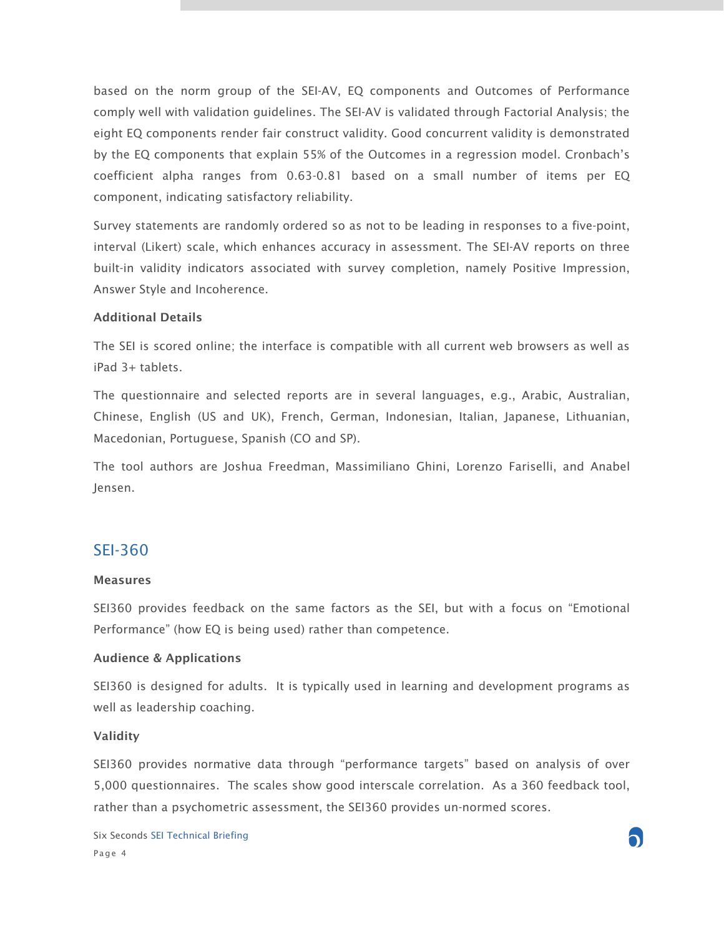based on the norm group of the SEI-AV, EQ components and Outcomes of Performance comply well with validation guidelines. The SEI-AV is validated through Factorial Analysis; the eight EQ components render fair construct validity. Good concurrent validity is demonstrated by the EQ components that explain 55% of the Outcomes in a regression model. Cronbach's coefficient alpha ranges from 0.63-0.81 based on a small number of items per EQ component, indicating satisfactory reliability.

Survey statements are randomly ordered so as not to be leading in responses to a five-point, interval (Likert) scale, which enhances accuracy in assessment. The SEI-AV reports on three built-in validity indicators associated with survey completion, namely Positive Impression, Answer Style and Incoherence.

#### Additional Details

The SEI is scored online; the interface is compatible with all current web browsers as well as iPad 3+ tablets.

The questionnaire and selected reports are in several languages, e.g., Arabic, Australian, Chinese, English (US and UK), French, German, Indonesian, Italian, Japanese, Lithuanian, Macedonian, Portuguese, Spanish (CO and SP).

The tool authors are Joshua Freedman, Massimiliano Ghini, Lorenzo Fariselli, and Anabel Jensen.

#### SEI-360

#### Measures

SEI360 provides feedback on the same factors as the SEI, but with a focus on "Emotional Performance" (how EQ is being used) rather than competence.

#### Audience & Applications

SEI360 is designed for adults. It is typically used in learning and development programs as well as leadership coaching.

#### Validity

SEI360 provides normative data through "performance targets" based on analysis of over 5,000 questionnaires. The scales show good interscale correlation. As a 360 feedback tool, rather than a psychometric assessment, the SEI360 provides un-normed scores.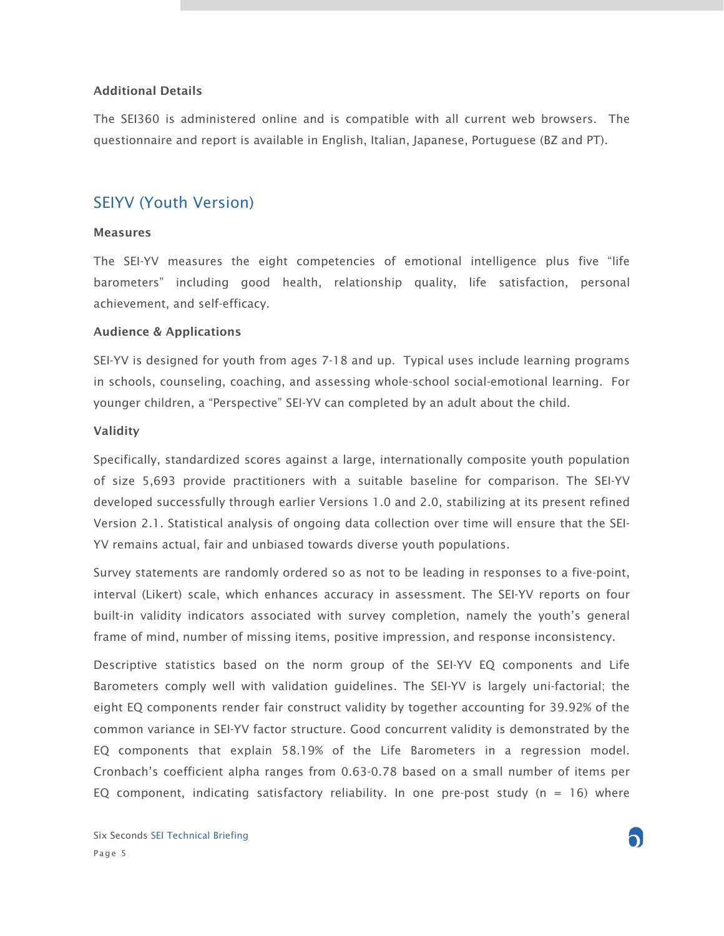#### Additional Details

The SEI360 is administered online and is compatible with all current web browsers. The questionnaire and report is available in English, Italian, Japanese, Portuguese (BZ and PT).

#### SEIYV (Youth Version)

#### Measures

The SEI-YV measures the eight competencies of emotional intelligence plus five "life barometers" including good health, relationship quality, life satisfaction, personal achievement, and self-efficacy.

#### Audience & Applications

SEI-YV is designed for youth from ages 7-18 and up. Typical uses include learning programs in schools, counseling, coaching, and assessing whole-school social-emotional learning. For younger children, a "Perspective" SEI-YV can completed by an adult about the child.

#### Validity

Specifically, standardized scores against a large, internationally composite youth population of size 5,693 provide practitioners with a suitable baseline for comparison. The SEI-YV developed successfully through earlier Versions 1.0 and 2.0, stabilizing at its present refined Version 2.1. Statistical analysis of ongoing data collection over time will ensure that the SEI-YV remains actual, fair and unbiased towards diverse youth populations.

Survey statements are randomly ordered so as not to be leading in responses to a five-point, interval (Likert) scale, which enhances accuracy in assessment. The SEI-YV reports on four built-in validity indicators associated with survey completion, namely the youth's general frame of mind, number of missing items, positive impression, and response inconsistency.

Descriptive statistics based on the norm group of the SEI-YV EQ components and Life Barometers comply well with validation guidelines. The SEI-YV is largely uni-factorial; the eight EQ components render fair construct validity by together accounting for 39.92% of the common variance in SEI-YV factor structure. Good concurrent validity is demonstrated by the EQ components that explain 58.19% of the Life Barometers in a regression model. Cronbach's coefficient alpha ranges from 0.63-0.78 based on a small number of items per EQ component, indicating satisfactory reliability. In one pre-post study ( $n = 16$ ) where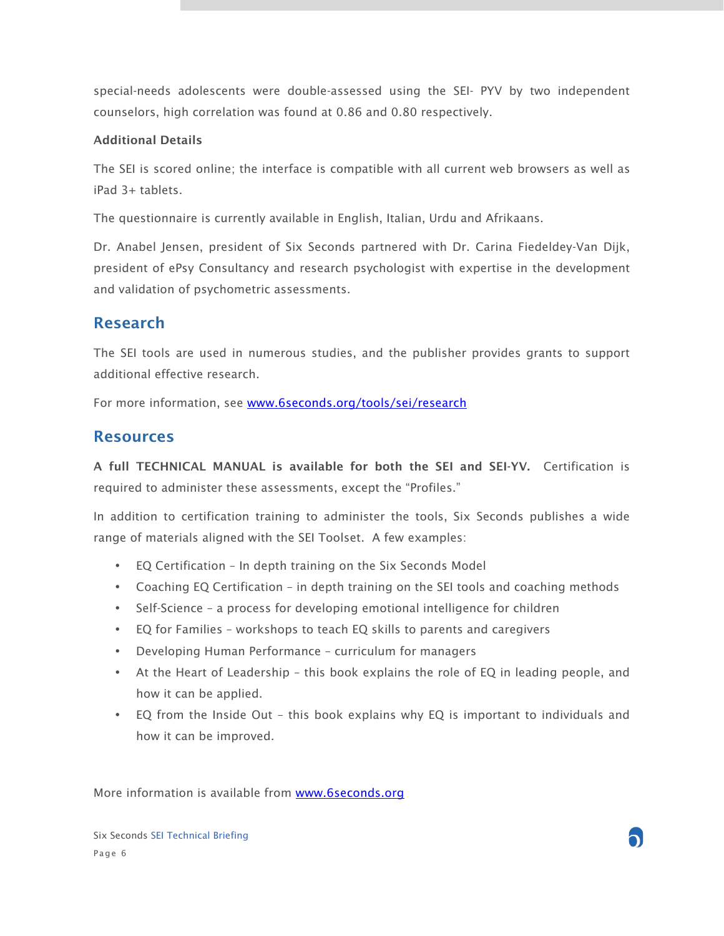special-needs adolescents were double-assessed using the SEI- PYV by two independent counselors, high correlation was found at 0.86 and 0.80 respectively.

#### Additional Details

The SEI is scored online; the interface is compatible with all current web browsers as well as iPad 3+ tablets.

The questionnaire is currently available in English, Italian, Urdu and Afrikaans.

Dr. Anabel Jensen, president of Six Seconds partnered with Dr. Carina Fiedeldey-Van Dijk, president of ePsy Consultancy and research psychologist with expertise in the development and validation of psychometric assessments.

#### Research

The SEI tools are used in numerous studies, and the publisher provides grants to support additional effective research.

For more information, see www.6seconds.org/tools/sei/research

#### Resources

A full TECHNICAL MANUAL is available for both the SEI and SEI-YV. Certification is required to administer these assessments, except the "Profiles."

In addition to certification training to administer the tools, Six Seconds publishes a wide range of materials aligned with the SEI Toolset. A few examples:

- EQ Certification In depth training on the Six Seconds Model
- Coaching EQ Certification in depth training on the SEI tools and coaching methods
- Self-Science a process for developing emotional intelligence for children
- EQ for Families workshops to teach EQ skills to parents and caregivers
- Developing Human Performance curriculum for managers
- At the Heart of Leadership this book explains the role of EQ in leading people, and how it can be applied.
- EQ from the Inside Out this book explains why EQ is important to individuals and how it can be improved.

More information is available from www.6seconds.org